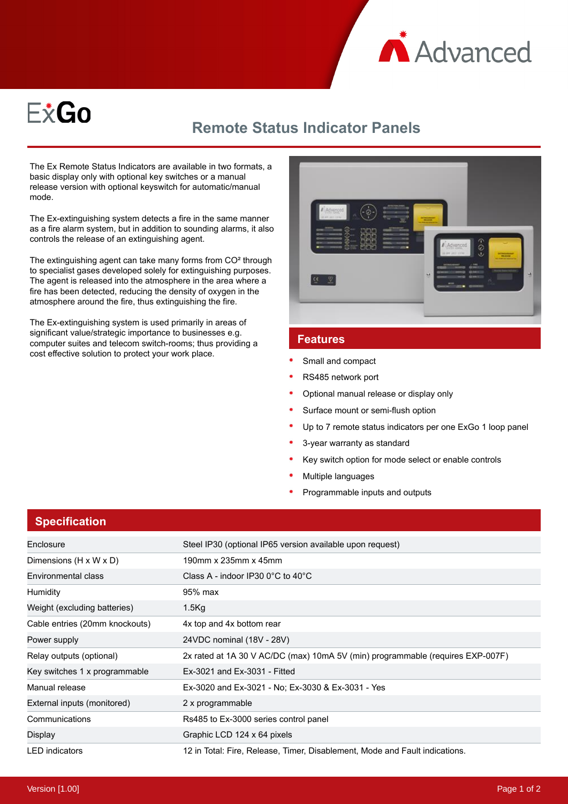



## **Remote Status Indicator Panels**

The Ex Remote Status Indicators are available in two formats, a basic display only with optional key switches or a manual release version with optional keyswitch for automatic/manual mode.

The Ex-extinguishing system detects a fire in the same manner as a fire alarm system, but in addition to sounding alarms, it also controls the release of an extinguishing agent.

The extinguishing agent can take many forms from CO² through to specialist gases developed solely for extinguishing purposes. The agent is released into the atmosphere in the area where a fire has been detected, reducing the density of oxygen in the atmosphere around the fire, thus extinguishing the fire.

The Ex-extinguishing system is used primarily in areas of significant value/strategic importance to businesses e.g. computer suites and telecom switch-rooms; thus providing a cost effective solution to protect your work place.



## **Features**

- Small and compact
- RS485 network port
- Optional manual release or display only
- Surface mount or semi-flush option
- Up to 7 remote status indicators per one ExGo 1 loop panel
- 3-year warranty as standard
- Key switch option for mode select or enable controls
- Multiple languages
- Programmable inputs and outputs

## **Specification**

| Enclosure                      | Steel IP30 (optional IP65 version available upon request)                      |
|--------------------------------|--------------------------------------------------------------------------------|
| Dimensions (H x W x D)         | 190mm x 235mm x 45mm                                                           |
| Environmental class            | Class A - indoor IP30 $0^{\circ}$ C to 40 $^{\circ}$ C                         |
| Humidity                       | 95% max                                                                        |
| Weight (excluding batteries)   | $1.5$ Kg                                                                       |
| Cable entries (20mm knockouts) | 4x top and 4x bottom rear                                                      |
| Power supply                   | 24VDC nominal (18V - 28V)                                                      |
| Relay outputs (optional)       | 2x rated at 1A 30 V AC/DC (max) 10mA 5V (min) programmable (requires EXP-007F) |
| Key switches 1 x programmable  | Ex-3021 and Ex-3031 - Fitted                                                   |
| Manual release                 | Ex-3020 and Ex-3021 - No: Ex-3030 & Ex-3031 - Yes                              |
| External inputs (monitored)    | 2 x programmable                                                               |
| Communications                 | Rs485 to Ex-3000 series control panel                                          |
| Display                        | Graphic LCD 124 x 64 pixels                                                    |
| <b>LED</b> indicators          | 12 in Total: Fire, Release, Timer, Disablement, Mode and Fault indications.    |